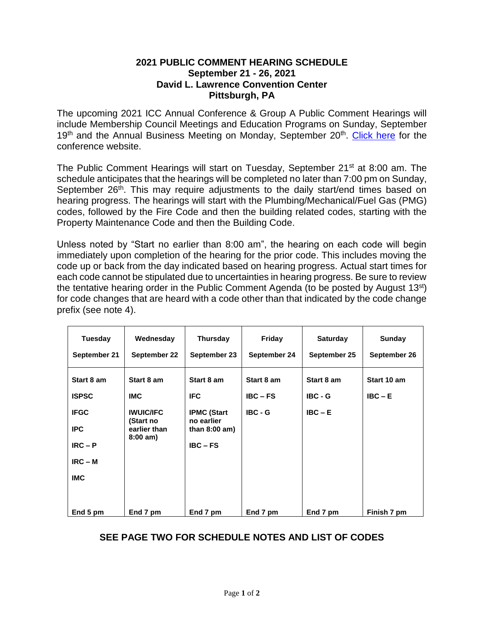## **2021 PUBLIC COMMENT HEARING SCHEDULE September 21 - 26, 2021 David L. Lawrence Convention Center Pittsburgh, PA**

The upcoming 2021 ICC Annual Conference & Group A Public Comment Hearings will include Membership Council Meetings and Education Programs on Sunday, September 19<sup>th</sup> and the Annual Business Meeting on Monday, September 20<sup>th</sup>. [Click here](https://www.iccsafe.org/events/conference/welcome/) for the conference website.

The Public Comment Hearings will start on Tuesday, September 21<sup>st</sup> at 8:00 am. The schedule anticipates that the hearings will be completed no later than 7:00 pm on Sunday, September 26<sup>th</sup>. This may require adjustments to the daily start/end times based on hearing progress. The hearings will start with the Plumbing/Mechanical/Fuel Gas (PMG) codes, followed by the Fire Code and then the building related codes, starting with the Property Maintenance Code and then the Building Code.

Unless noted by "Start no earlier than 8:00 am", the hearing on each code will begin immediately upon completion of the hearing for the prior code. This includes moving the code up or back from the day indicated based on hearing progress. Actual start times for each code cannot be stipulated due to uncertainties in hearing progress. Be sure to review the tentative hearing order in the Public Comment Agenda (to be posted by August  $13<sup>st</sup>$ ) for code changes that are heard with a code other than that indicated by the code change prefix (see note 4).

| <b>Tuesday</b>                         | Wednesday                                                          | Thursday                                                          | Friday       | <b>Saturday</b> | <b>Sunday</b> |
|----------------------------------------|--------------------------------------------------------------------|-------------------------------------------------------------------|--------------|-----------------|---------------|
| September 21                           | September 22                                                       | September 23                                                      | September 24 | September 25    | September 26  |
| Start 8 am                             | Start 8 am                                                         | Start 8 am                                                        | Start 8 am   | Start 8 am      | Start 10 am   |
| <b>ISPSC</b>                           | <b>IMC</b>                                                         | <b>IFC</b>                                                        | $IBC - FS$   | $IBC - G$       | $IBC - E$     |
| <b>IFGC</b><br><b>IPC</b><br>$IRC - P$ | <b>IWUIC/IFC</b><br>(Start no<br>earlier than<br>$8:00 \text{ am}$ | <b>IPMC (Start</b><br>no earlier<br>than $8:00$ am)<br>$IBC - FS$ | $IBC - G$    | $IBC - E$       |               |
| $IRC - M$                              |                                                                    |                                                                   |              |                 |               |
| <b>IMC</b>                             |                                                                    |                                                                   |              |                 |               |
| End 5 pm                               | End 7 pm                                                           | End 7 pm                                                          | End 7 pm     | End 7 pm        | Finish 7 pm   |

## **SEE PAGE TWO FOR SCHEDULE NOTES AND LIST OF CODES**